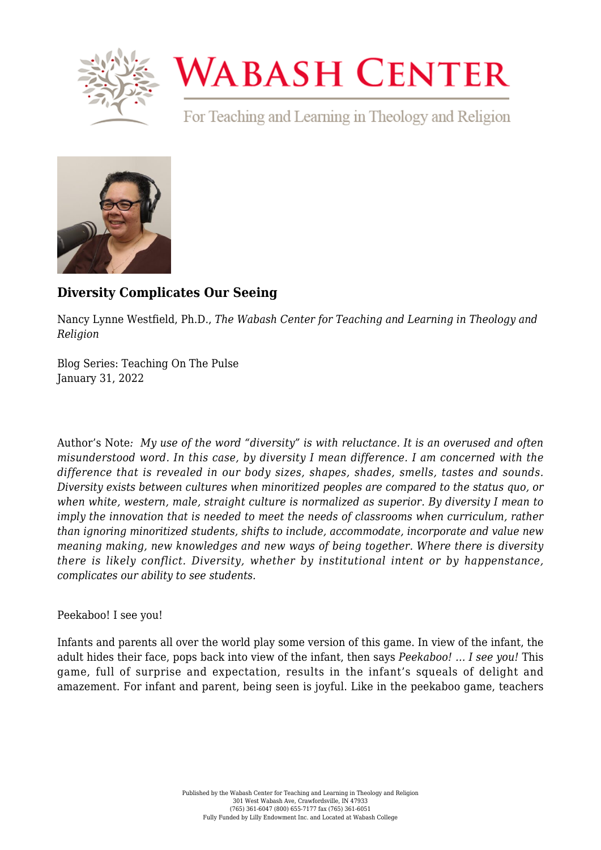

## **WABASH CENTER**

For Teaching and Learning in Theology and Religion



## **[Diversity Complicates Our Seeing](https://www.wabashcenter.wabash.edu/2022/01/diversity-complicates-our-seeing/)**

Nancy Lynne Westfield, Ph.D., *The Wabash Center for Teaching and Learning in Theology and Religion*

Blog Series: Teaching On The Pulse January 31, 2022

Author's Note*: My use of the word "diversity" is with reluctance. It is an overused and often misunderstood word. In this case, by diversity I mean difference. I am concerned with the difference that is revealed in our body sizes, shapes, shades, smells, tastes and sounds. Diversity exists between cultures when minoritized peoples are compared to the status quo, or when white, western, male, straight culture is normalized as superior. By diversity I mean to imply the innovation that is needed to meet the needs of classrooms when curriculum, rather than ignoring minoritized students, shifts to include, accommodate, incorporate and value new meaning making, new knowledges and new ways of being together. Where there is diversity there is likely conflict. Diversity, whether by institutional intent or by happenstance, complicates our ability to see students.*

## Peekaboo! I see you!

Infants and parents all over the world play some version of this game. In view of the infant, the adult hides their face, pops back into view of the infant, then says *Peekaboo! … I see you!* This game, full of surprise and expectation, results in the infant's squeals of delight and amazement. For infant and parent, being seen is joyful. Like in the peekaboo game, teachers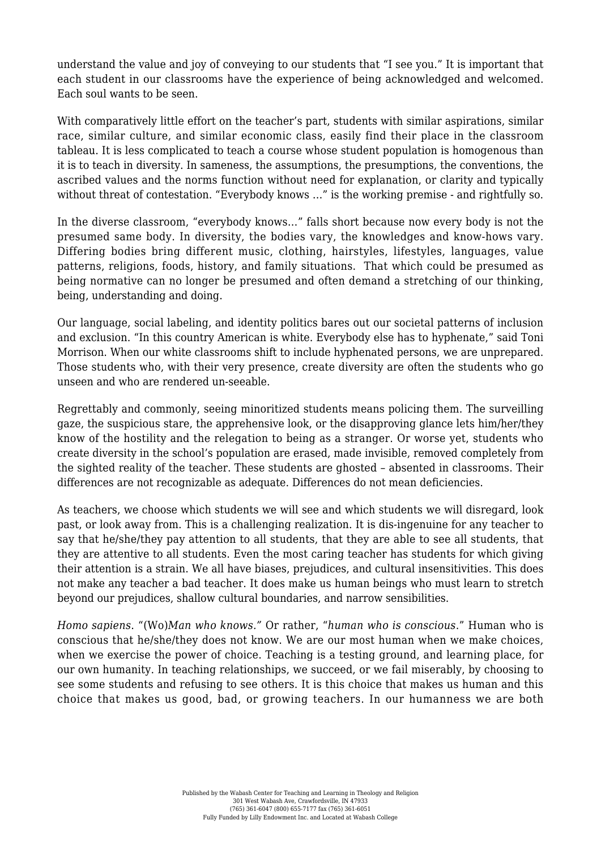understand the value and joy of conveying to our students that "I see you." It is important that each student in our classrooms have the experience of being acknowledged and welcomed. Each soul wants to be seen.

With comparatively little effort on the teacher's part, students with similar aspirations, similar race, similar culture, and similar economic class, easily find their place in the classroom tableau. It is less complicated to teach a course whose student population is homogenous than it is to teach in diversity. In sameness, the assumptions, the presumptions, the conventions, the ascribed values and the norms function without need for explanation, or clarity and typically without threat of contestation. "Everybody knows ..." is the working premise - and rightfully so.

In the diverse classroom, "everybody knows…" falls short because now every body is not the presumed same body. In diversity, the bodies vary, the knowledges and know-hows vary. Differing bodies bring different music, clothing, hairstyles, lifestyles, languages, value patterns, religions, foods, history, and family situations. That which could be presumed as being normative can no longer be presumed and often demand a stretching of our thinking, being, understanding and doing.

Our language, social labeling, and identity politics bares out our societal patterns of inclusion and exclusion. "In this country American is white. Everybody else has to hyphenate," said Toni Morrison. When our white classrooms shift to include hyphenated persons, we are unprepared. Those students who, with their very presence, create diversity are often the students who go unseen and who are rendered un-seeable.

Regrettably and commonly, seeing minoritized students means policing them. The surveilling gaze, the suspicious stare, the apprehensive look, or the disapproving glance lets him/her/they know of the hostility and the relegation to being as a stranger. Or worse yet, students who create diversity in the school's population are erased, made invisible, removed completely from the sighted reality of the teacher. These students are ghosted – absented in classrooms. Their differences are not recognizable as adequate. Differences do not mean deficiencies.

As teachers, we choose which students we will see and which students we will disregard, look past, or look away from. This is a challenging realization. It is dis-ingenuine for any teacher to say that he/she/they pay attention to all students, that they are able to see all students, that they are attentive to all students. Even the most caring teacher has students for which giving their attention is a strain. We all have biases, prejudices, and cultural insensitivities. This does not make any teacher a bad teacher. It does make us human beings who must learn to stretch beyond our prejudices, shallow cultural boundaries, and narrow sensibilities.

*Homo sapiens*. "(Wo)*Man who knows."* Or rather, "*human who is conscious*." Human who is conscious that he/she/they does not know. We are our most human when we make choices, when we exercise the power of choice. Teaching is a testing ground, and learning place, for our own humanity. In teaching relationships, we succeed, or we fail miserably, by choosing to see some students and refusing to see others. It is this choice that makes us human and this choice that makes us good, bad, or growing teachers. In our humanness we are both